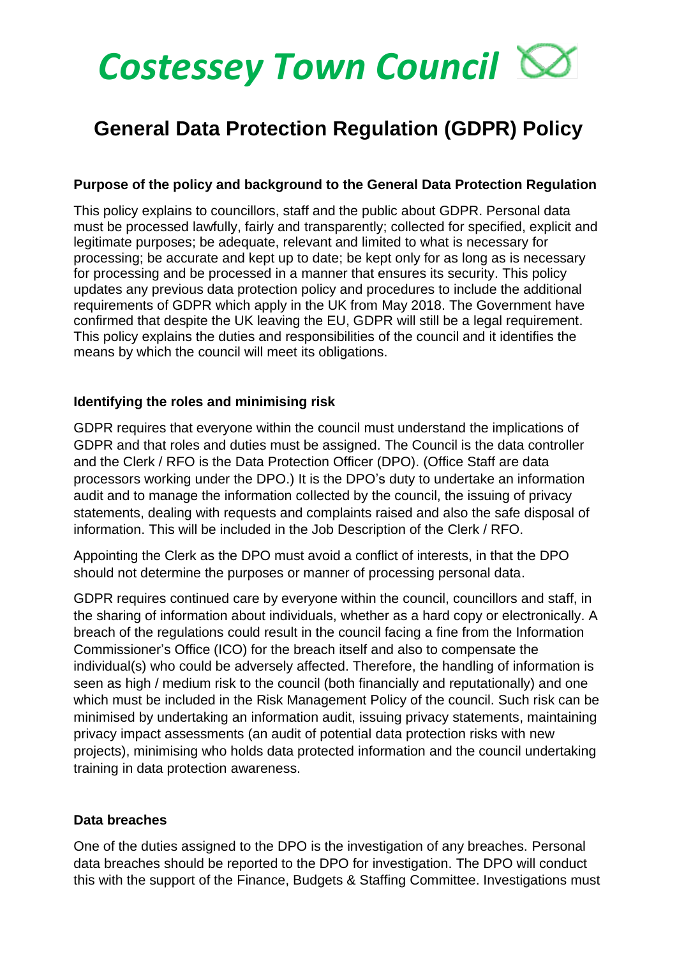# *Costessey Town Council*

# **General Data Protection Regulation (GDPR) Policy**

#### **Purpose of the policy and background to the General Data Protection Regulation**

This policy explains to councillors, staff and the public about GDPR. Personal data must be processed lawfully, fairly and transparently; collected for specified, explicit and legitimate purposes; be adequate, relevant and limited to what is necessary for processing; be accurate and kept up to date; be kept only for as long as is necessary for processing and be processed in a manner that ensures its security. This policy updates any previous data protection policy and procedures to include the additional requirements of GDPR which apply in the UK from May 2018. The Government have confirmed that despite the UK leaving the EU, GDPR will still be a legal requirement. This policy explains the duties and responsibilities of the council and it identifies the means by which the council will meet its obligations.

#### **Identifying the roles and minimising risk**

GDPR requires that everyone within the council must understand the implications of GDPR and that roles and duties must be assigned. The Council is the data controller and the Clerk / RFO is the Data Protection Officer (DPO). (Office Staff are data processors working under the DPO.) It is the DPO's duty to undertake an information audit and to manage the information collected by the council, the issuing of privacy statements, dealing with requests and complaints raised and also the safe disposal of information. This will be included in the Job Description of the Clerk / RFO.

Appointing the Clerk as the DPO must avoid a conflict of interests, in that the DPO should not determine the purposes or manner of processing personal data.

GDPR requires continued care by everyone within the council, councillors and staff, in the sharing of information about individuals, whether as a hard copy or electronically. A breach of the regulations could result in the council facing a fine from the Information Commissioner's Office (ICO) for the breach itself and also to compensate the individual(s) who could be adversely affected. Therefore, the handling of information is seen as high / medium risk to the council (both financially and reputationally) and one which must be included in the Risk Management Policy of the council. Such risk can be minimised by undertaking an information audit, issuing privacy statements, maintaining privacy impact assessments (an audit of potential data protection risks with new projects), minimising who holds data protected information and the council undertaking training in data protection awareness.

#### **Data breaches**

One of the duties assigned to the DPO is the investigation of any breaches. Personal data breaches should be reported to the DPO for investigation. The DPO will conduct this with the support of the Finance, Budgets & Staffing Committee. Investigations must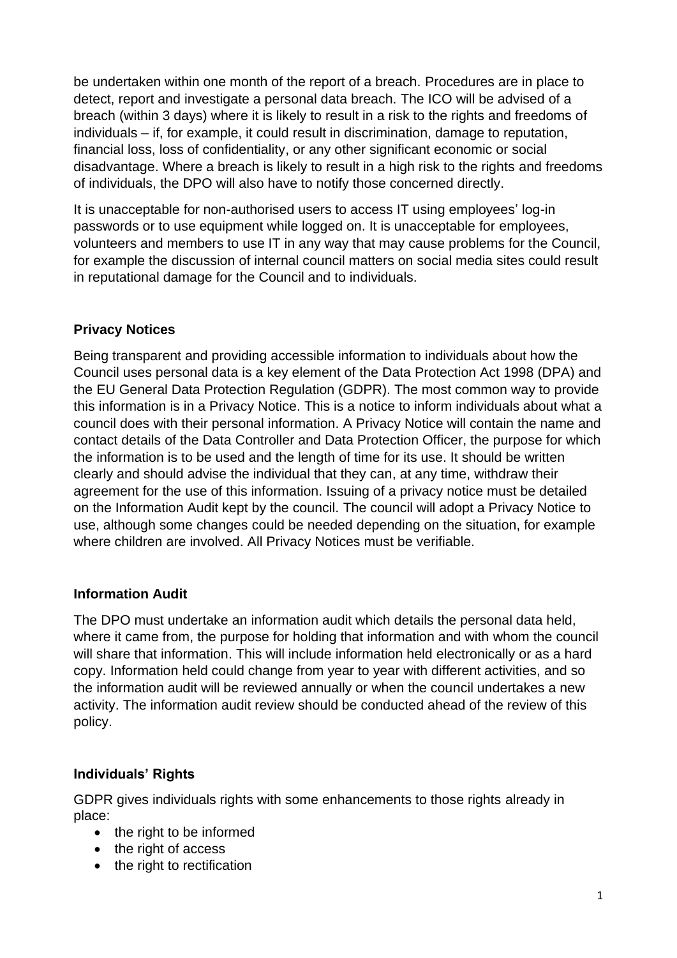be undertaken within one month of the report of a breach. Procedures are in place to detect, report and investigate a personal data breach. The ICO will be advised of a breach (within 3 days) where it is likely to result in a risk to the rights and freedoms of individuals – if, for example, it could result in discrimination, damage to reputation, financial loss, loss of confidentiality, or any other significant economic or social disadvantage. Where a breach is likely to result in a high risk to the rights and freedoms of individuals, the DPO will also have to notify those concerned directly.

It is unacceptable for non-authorised users to access IT using employees' log-in passwords or to use equipment while logged on. It is unacceptable for employees, volunteers and members to use IT in any way that may cause problems for the Council, for example the discussion of internal council matters on social media sites could result in reputational damage for the Council and to individuals.

## **Privacy Notices**

Being transparent and providing accessible information to individuals about how the Council uses personal data is a key element of the Data Protection Act 1998 (DPA) and the EU General Data Protection Regulation (GDPR). The most common way to provide this information is in a Privacy Notice. This is a notice to inform individuals about what a council does with their personal information. A Privacy Notice will contain the name and contact details of the Data Controller and Data Protection Officer, the purpose for which the information is to be used and the length of time for its use. It should be written clearly and should advise the individual that they can, at any time, withdraw their agreement for the use of this information. Issuing of a privacy notice must be detailed on the Information Audit kept by the council. The council will adopt a Privacy Notice to use, although some changes could be needed depending on the situation, for example where children are involved. All Privacy Notices must be verifiable.

### **Information Audit**

The DPO must undertake an information audit which details the personal data held, where it came from, the purpose for holding that information and with whom the council will share that information. This will include information held electronically or as a hard copy. Information held could change from year to year with different activities, and so the information audit will be reviewed annually or when the council undertakes a new activity. The information audit review should be conducted ahead of the review of this policy.

### **Individuals' Rights**

GDPR gives individuals rights with some enhancements to those rights already in place:

- the right to be informed
- the right of access
- the right to rectification